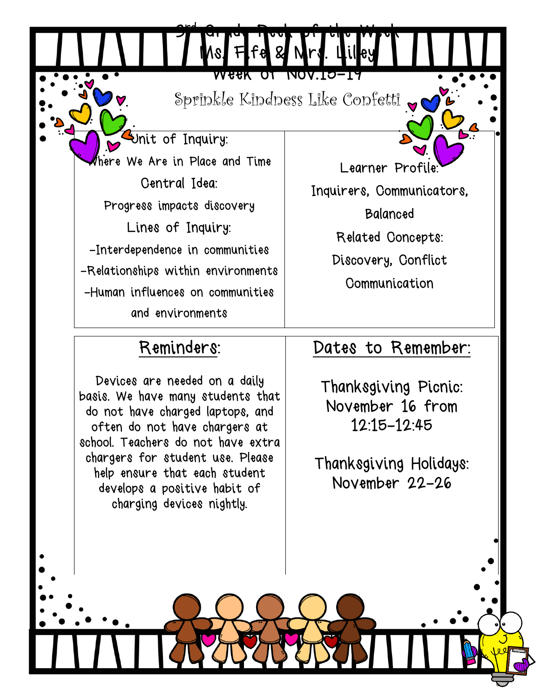Week of Nov.15-19 Sprinkle Kindness Like Confetti

rd Grade Peek of the Week

Ms. Fife & Mrs. Lilley

Unit of Inquiry: Where We Are in Place and Time Central Idea: Progress impacts discovery Lines of Inquiry: -Interdependence in communities -Relationships within environments -Human influences on communities and environments

3

Learner Profile:

Inquirers, Communicators,

Balanced

Related Concepts:

Discovery, Conflict

**Communication** 

## Reminders:

Devices are needed on a daily basis. We have many students that do not have charged laptops, and often do not have chargers at school. Teachers do not have extra chargers for student use. Please help ensure that each student develops a positive habit of charging devices nightly.

## Dates to Remember:

Thanksgiving Picnic: November 16 from 12:15-12:45

Thanksgiving Holidays: November 22-26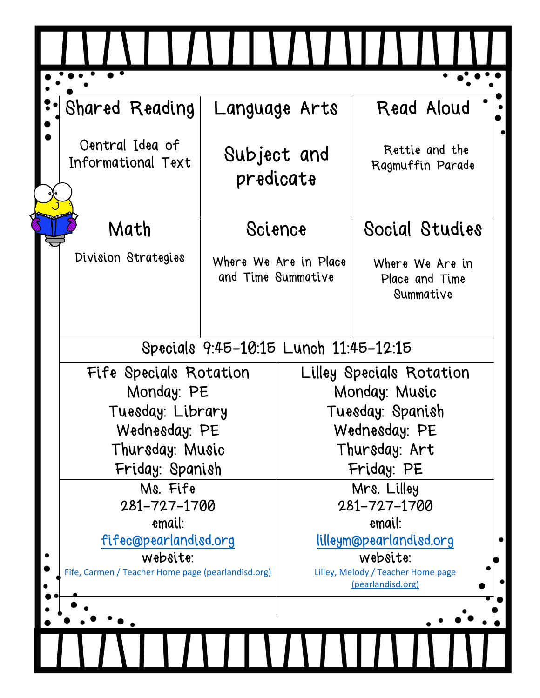|  | Shared Reading                                     | Language Arts            |                                   | Read Aloud                                              |
|--|----------------------------------------------------|--------------------------|-----------------------------------|---------------------------------------------------------|
|  | Central Idea of<br>Informational Text              | Subject and<br>predicate |                                   | Rettie and the<br>Ragmuffin Parade                      |
|  | Math                                               | Science                  |                                   | Social Studies                                          |
|  | Division Strategies                                | and Time Summative       | Where We Are in Place             | Where We Are in<br>Place and Time<br>Summative          |
|  | Specials 9:45-10:15 Lunch 11:45-12:15              |                          |                                   |                                                         |
|  | Fife Specials Rotation<br>Monday: PE               |                          | Lilley Specials Rotation          |                                                         |
|  |                                                    |                          | Monday: Music                     |                                                         |
|  | Tuesday: Library<br>Wednesday: PE                  |                          | Tuesday: Spanish<br>Wednesday: PE |                                                         |
|  | Thursday: Music                                    |                          | Thursday: Art                     |                                                         |
|  | Friday: Spanish                                    |                          | Friday: PE                        |                                                         |
|  | Ms. Fife<br>281-727-1700                           |                          | Mrs. Lilley                       |                                                         |
|  |                                                    |                          | 281-727-1700                      |                                                         |
|  | email:<br>fifec@pearlandisd.org                    |                          | email:<br>lilleym@pearlandisd.org |                                                         |
|  | website:                                           |                          | website:                          |                                                         |
|  | Fife, Carmen / Teacher Home page (pearlandisd.org) |                          |                                   | Lilley, Melody / Teacher Home page<br>(pearlandisd.org) |
|  |                                                    |                          |                                   |                                                         |
|  |                                                    |                          |                                   |                                                         |
|  |                                                    |                          |                                   |                                                         |
|  |                                                    |                          |                                   |                                                         |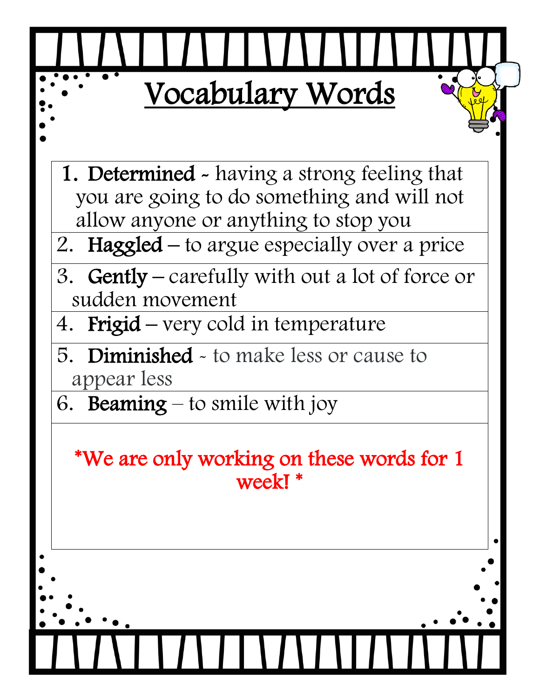